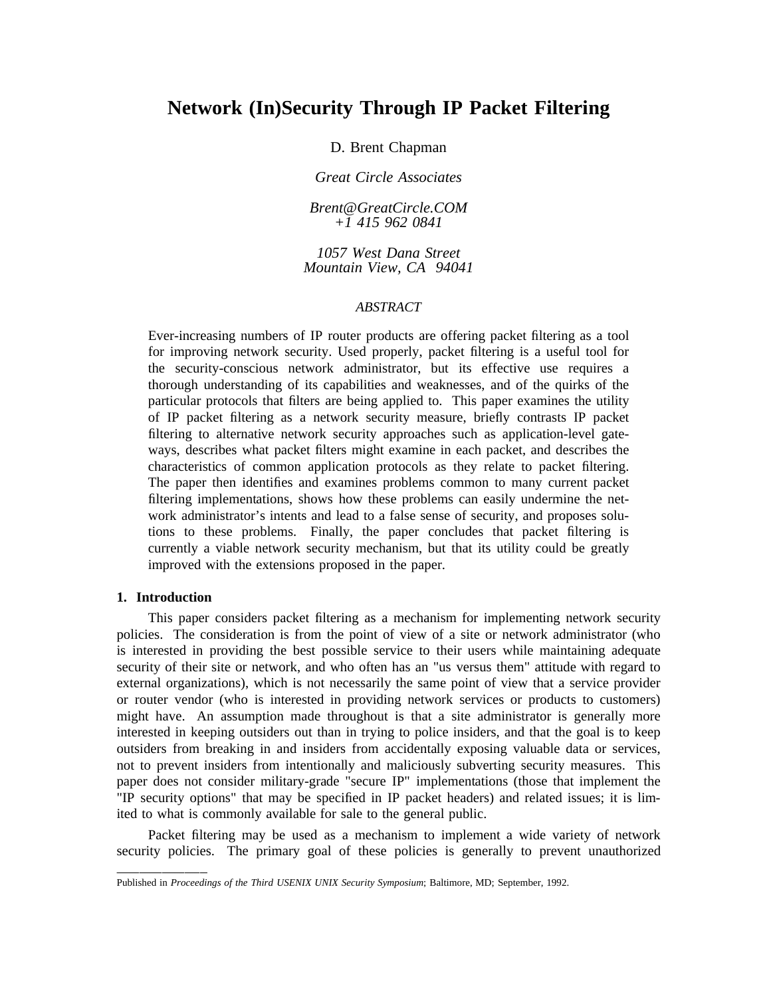# **Network (In)Security Through IP Packet Filtering**

D. Brent Chapman

*G reat Circle Associates*

*Brent*@*GreatCircle.COM +1 415 962 0841*

*t 1057 West Dana Stree M ountain View, CA 94041*

### *ABSTRACT*

E ver-increasing numbers of IP router products are offering packet filtering as a tool t he security-conscious network administrator, but its effective use requires a for improving network security. Used properly, packet filtering is a useful tool for thorough understanding of its capabilities and weaknesses, and of the quirks of the p articular protocols that filters are being applied to. This paper examines the utility of IP packet filtering as a network security measure, briefly contrasts IP packet fi ltering to alternative network security approaches such as application-level gatec haracteristics of common application protocols as they relate to packet filtering. ways, describes what packet filters might examine in each packet, and describes the fi ltering implementations, shows how these problems can easily undermine the net- The paper then identifies and examines problems common to many current packet work administrator's intents and lead to a false sense of security, and proposes solut ions to these problems. Finally, the paper concludes that packet filtering is i mproved with the extensions proposed in the paper. currently a viable network security mechanism, but that its utility could be greatly

### **1. Introduction**

This paper considers packet filtering as a mechanism for implementing network security policies. The consideration is from the point of view of a site or network administrator (who i s interested in providing the best possible service to their users while maintaining adequate e xternal organizations), which is not necessarily the same point of view that a service provider security of their site or network, and who often has an "us versus them" attitude with regard to ) or router vendor (who is interested in providing network services or products to customers m ight have. An assumption made throughout is that a site administrator is generally more o utsiders from breaking in and insiders from accidentally exposing valuable data or services, interested in keeping outsiders out than in trying to police insiders, and that the goal is to keep p aper does not consider military-grade "secure IP" implementations (those that implement the not to prevent insiders from intentionally and maliciously subverting security measures. This "IP security options" that may be specified in IP packet headers) and related issues; it is limi ted to what is commonly available for sale to the general public.

Packet filtering may be used as a mechanism to implement a wide variety of network security policies. The primary goal of these policies is generally to prevent unauthorized

P ublished in *Proceedings of the Third USENIX UNIX Security Symposium*; Baltimore, MD; September, 1992.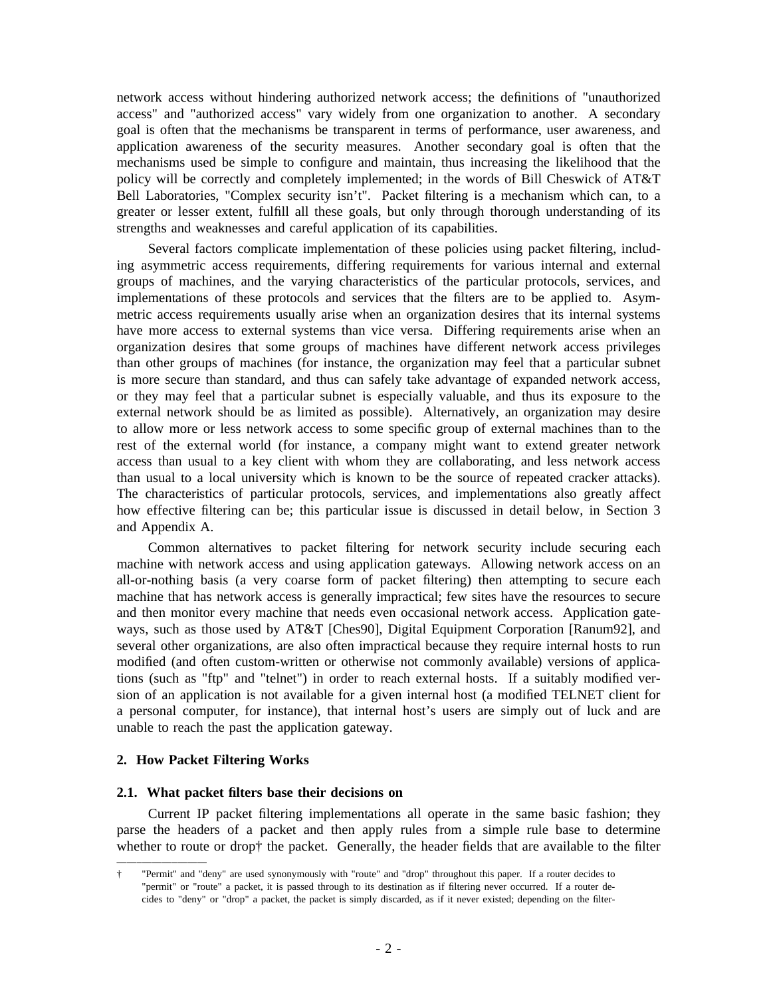network access without hindering authorized network access; the definitions of "unauthorized a ccess" and "authorized access" vary widely from one organization to another. A secondary goal is often that the mechanisms be transparent in terms of performance, user awareness, and a pplication awareness of the security measures. Another secondary goal is often that the mechanisms used be simple to configure and maintain, thus increasing the likelihood that the p olicy will be correctly and completely implemented; in the words of Bill Cheswick of AT&T Bell Laboratories, "Complex security isn't". Packet filtering is a mechanism which can, to a g reater or lesser extent, fulfill all these goals, but only through thorough understanding of its strengths and weaknesses and careful application of its capabilities.

Several factors complicate implementation of these policies using packet filtering, including asymmetric access requirements, differing requirements for various internal and external g roups of machines, and the varying characteristics of the particular protocols, services, and implementations of these protocols and services that the filters are to be applied to. Asymm etric access requirements usually arise when an organization desires that its internal systems o rganization desires that some groups of machines have different network access privileges have more access to external systems than vice versa. Differing requirements arise when an t than other groups of machines (for instance, the organization may feel that a particular subne i s more secure than standard, and thus can safely take advantage of expanded network access, e xternal network should be as limited as possible). Alternatively, an organization may desire or they may feel that a particular subnet is especially valuable, and thus its exposure to the to allow more or less network access to some specific group of external machines than to the r est of the external world (for instance, a company might want to extend greater network access than usual to a key client with whom they are collaborating, and less network access t han usual to a local university which is known to be the source of repeated cracker attacks). h ow effective filtering can be; this particular issue is discussed in detail below, in Section 3 The characteristics of particular protocols, services, and implementations also greatly affect and Appendix A.

Common alternatives to packet filtering for network security include securing each n machine with network access and using application gateways. Allowing network access on a a ll-or-nothing basis (a very coarse form of packet filtering) then attempting to secure each machine that has network access is generally impractical; few sites have the resources to secure a nd then monitor every machine that needs even occasional network access. Application gates everal other organizations, are also often impractical because they require internal hosts to run ways, such as those used by AT&T [Ches90], Digital Equipment Corporation [Ranum92], and - modified (and often custom-written or otherwise not commonly available) versions of applica t ions (such as "ftp" and "telnet") in order to reach external hosts. If a suitably modified version of an application is not available for a given internal host (a modified TELNET client for a personal computer, for instance), that internal host's users are simply out of luck and are unable to reach the past the application gateway.

# **2 . How Packet Filtering Works**

### **2.1. What packet filters base their decisions on**

Current IP packet filtering implementations all operate in the same basic fashion; they parse the headers of a packet and then apply rules from a simple rule base to determine w hether to route or drop† the packet. Generally, the header fields that are available to the filter

<sup>†</sup> "Permit" and "deny" are used synonymously with "route" and "drop" throughout this paper. If a router decides to "permit" or "route" a packet, it is passed through to its destination as if filtering never occurred. If a router dec ides to "deny" or "drop" a packet, the packet is simply discarded, as if it never existed; depending on the filter-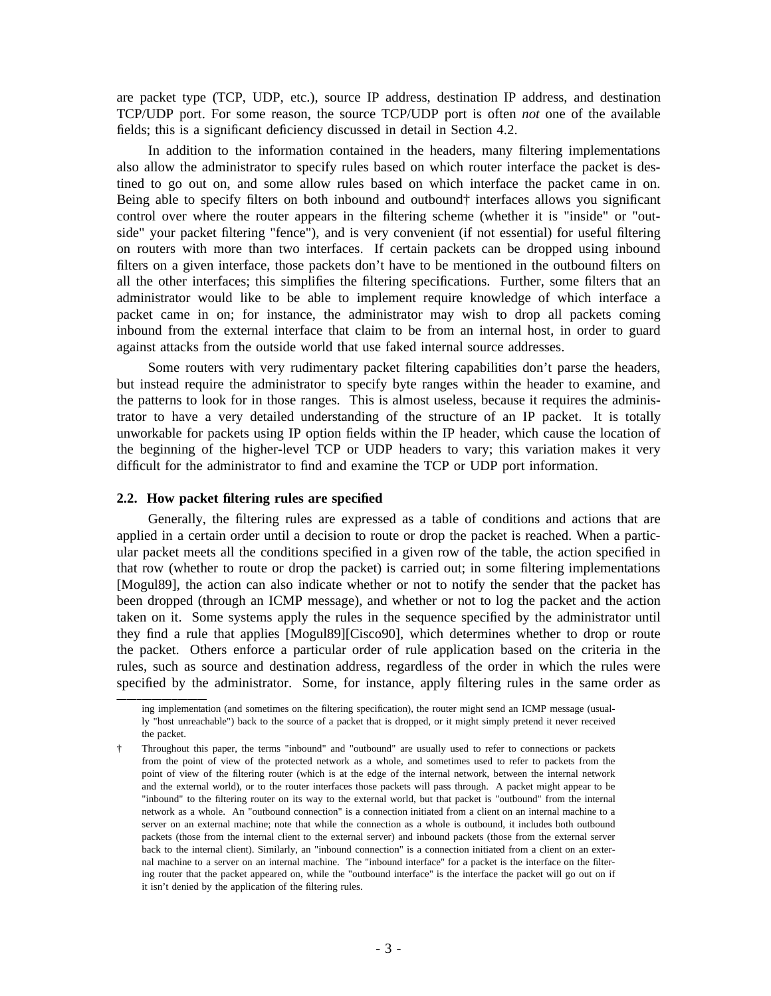are packet type (TCP, UDP, etc.), source IP address, destination IP address, and destination TCP/UDP port. For some reason, the source TCP/UDP port is often *not* one of the available fi elds; this is a significant deficiency discussed in detail in Section 4.2.

In addition to the information contained in the headers, many filtering implementations a lso allow the administrator to specify rules based on which router interface the packet is des tined to go out on, and some allow rules based on which interface the packet came in on. B eing able to specify filters on both inbound and outbound† interfaces allows you significant s ide" your packet filtering "fence"), and is very convenient (if not essential) for useful filtering control over where the router appears in the filtering scheme (whether it is "inside" or "outon routers with more than two interfaces. If certain packets can be dropped using inbound fi lters on a given interface, those packets don't have to be mentioned in the outbound filters on all the other interfaces; this simplifies the filtering specifications. Further, some filters that an a dministrator would like to be able to implement require knowledge of which interface a i nbound from the external interface that claim to be from an internal host, in order to guard packet came in on; for instance, the administrator may wish to drop all packets coming against attacks from the outside world that use faked internal source addresses.

Some routers with very rudimentary packet filtering capabilities don't parse the headers, t he patterns to look for in those ranges. This is almost useless, because it requires the adminisbut instead require the administrator to specify byte ranges within the header to examine, and u nworkable for packets using IP option fields within the IP header, which cause the location of trator to have a very detailed understanding of the structure of an IP packet. It is totally d ifficult for the administrator to find and examine the TCP or UDP port information. the beginning of the higher-level TCP or UDP headers to vary; this variation makes it very

### **2.2. How packet filtering rules are specified**

Generally, the filtering rules are expressed as a table of conditions and actions that are applied in a certain order until a decision to route or drop the packet is reached. When a particu lar packet meets all the conditions specified in a given row of the table, the action specified in that row (whether to route or drop the packet) is carried out; in some filtering implementations [ Mogul89], the action can also indicate whether or not to notify the sender that the packet has t aken on it. Some systems apply the rules in the sequence specified by the administrator until been dropped (through an ICMP message), and whether or not to log the packet and the action t he packet. Others enforce a particular order of rule application based on the criteria in the they find a rule that applies [Mogul89][Cisco90], which determines whether to drop or route rules, such as source and destination address, regardless of the order in which the rules were s pecified by the administrator. Some, for instance, apply filtering rules in the same order as

ing implementation (and sometimes on the filtering specification), the router might send an ICMP message (usualt he packet. ly "host unreachable") back to the source of a packet that is dropped, or it might simply pretend it never received

<sup>†</sup> Throughout this paper, the terms "inbound" and "outbound" are usually used to refer to connections or packets p oint of view of the filtering router (which is at the edge of the internal network, between the internal network from the point of view of the protected network as a whole, and sometimes used to refer to packets from the and the external world), or to the router interfaces those packets will pass through. A packet might appear to be " inbound" to the filtering router on its way to the external world, but that packet is "outbound" from the internal s erver on an external machine; note that while the connection as a whole is outbound, it includes both outbound network as a whole. An "outbound connection" is a connection initiated from a client on an internal machine to a packets (those from the internal client to the external server) and inbound packets (those from the external server b ack to the internal client). Similarly, an "inbound connection" is a connection initiated from a client on an exter- - nal machine to a server on an internal machine. The "inbound interface" for a packet is the interface on the filter i ng router that the packet appeared on, while the "outbound interface" is the interface the packet will go out on if it isn't denied by the application of the filtering rules.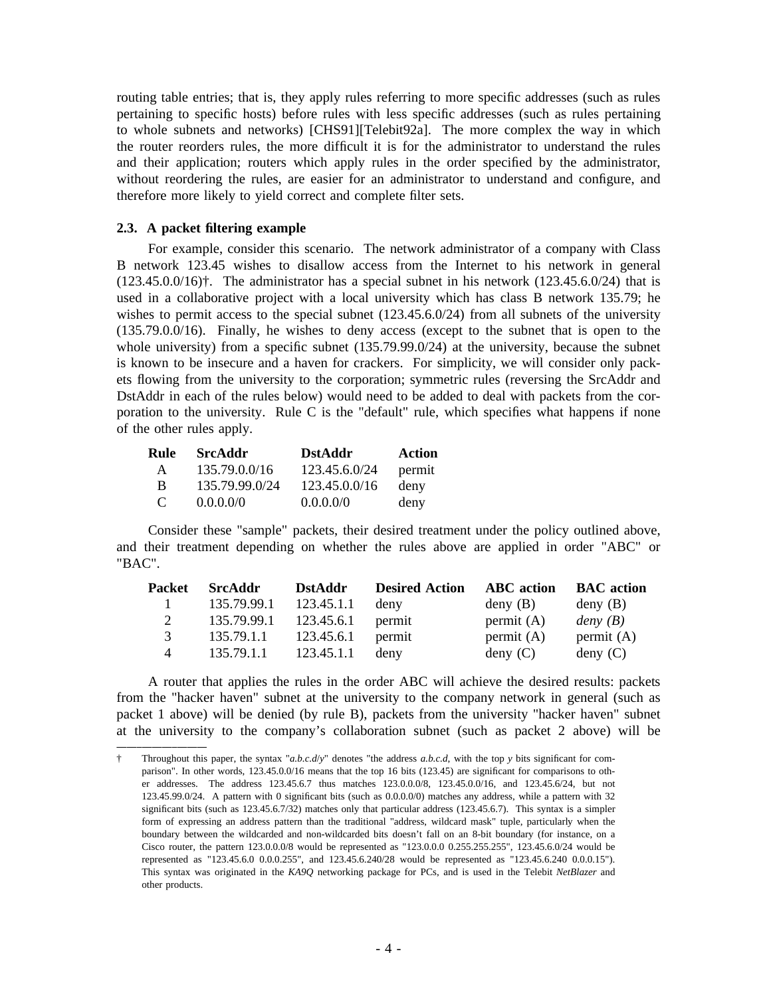routing table entries; that is, they apply rules referring to more specific addresses (such as rules p ertaining to specific hosts) before rules with less specific addresses (such as rules pertaining to whole subnets and networks) [CHS91][Telebit92a]. The more complex the way in which t he router reorders rules, the more difficult it is for the administrator to understand the rules and their application; routers which apply rules in the order specified by the administrator, w ithout reordering the rules, are easier for an administrator to understand and configure, and therefore more likely to yield correct and complete filter sets.

# **2 .3. A packet filtering example**

For example, consider this scenario. The network administrator of a company with Class B network 123.45 wishes to disallow access from the Internet to his network in general ( 123.45.0.0/16)†. The administrator has a special subnet in his network (123.45.6.0/24) that is wishes to permit access to the special subnet (123.45.6.0/24) from all subnets of the university used in a collaborative project with a local university which has class B network 135.79; he (135.79.0.0/16). Finally, he wishes to deny access (except to the subnet that is open to the w hole university) from a specific subnet (135.79.99.0/24) at the university, because the subnet e ts flowing from the university to the corporation; symmetric rules (reversing the SrcAddr and is known to be insecure and a haven for crackers. For simplicity, we will consider only pack-DstAddr in each of the rules below) would need to be added to deal with packets from the corp oration to the university. Rule C is the "default" rule, which specifies what happens if none of the other rules apply.

| Rule     | SrcAddr        | <b>DstAddr</b> | <b>Action</b> |
|----------|----------------|----------------|---------------|
| A        | 135.79.0.0/16  | 123.45.6.0/24  | permit        |
| B        | 135.79.99.0/24 | 123.45.0.0/16  | deny          |
| $\Gamma$ | $0.0.0.0\%$    | 0.0.0.0/0      | deny          |

C onsider these "sample" packets, their desired treatment under the policy outlined above, " BAC". and their treatment depending on whether the rules above are applied in order "ABC" or

| <b>Packet</b> | <b>SrcAddr</b>         | <b>DstAddr</b> | <b>Desired Action</b> | <b>ABC</b> action | <b>BAC</b> action |
|---------------|------------------------|----------------|-----------------------|-------------------|-------------------|
| $\mathbf{1}$  | 135.79.99.1            | 123.45.1.1     | deny                  | deny(B)           | deny(B)           |
| 2             | 135.79.99.1 123.45.6.1 |                | permit                | permit $(A)$      | deny $(B)$        |
| 3             | 135.79.1.1             | 123.45.6.1     | permit                | permit $(A)$      | permit $(A)$      |
| 4             | 135.79.1.1             | 123.45.1.1     | deny                  | $\text{deny}(C)$  | deny $(C)$        |

A router that applies the rules in the order ABC will achieve the desired results: packets f rom the "hacker haven" subnet at the university to the company network in general (such as packet 1 above) will be denied (by rule B), packets from the university "hacker haven" subnet a t the university to the company's collaboration subnet (such as packet 2 above) will be

<sup>†</sup> Throughout this paper, the syntax "*a.b.c.d*/*y*" denotes "the address *a.b.c.d*, with the top *y* bits significant for com parison". In other words, 123.45.0.0/16 means that the top 16 bits (123.45) are significant for comparisons to othe r addresses. The address 123.45.6.7 thus matches 123.0.0.0/8, 123.45.0.0/16, and 123.45.6/24, but not s ignificant bits (such as 123.45.6.7/32) matches only that particular address (123.45.6.7). This syntax is a simpler 123.45.99.0/24. A pattern with 0 significant bits (such as 0.0.0.0/0) matches any address, while a pattern with 32 b oundary between the wildcarded and non-wildcarded bits doesn't fall on an 8-bit boundary (for instance, on a form of expressing an address pattern than the traditional "address, wildcard mask" tuple, particularly when the Cisco router, the pattern 123.0.0.0/8 would be represented as "123.0.0.0 0.255.255.255", 123.45.6.0/24 would be r epresented as "123.45.6.0 0.0.0.255", and 123.45.6.240/28 would be represented as "123.45.6.240 0.0.0.15"). o ther products. This syntax was originated in the *KA9Q* networking package for PCs, and is used in the Telebit *NetBlazer* and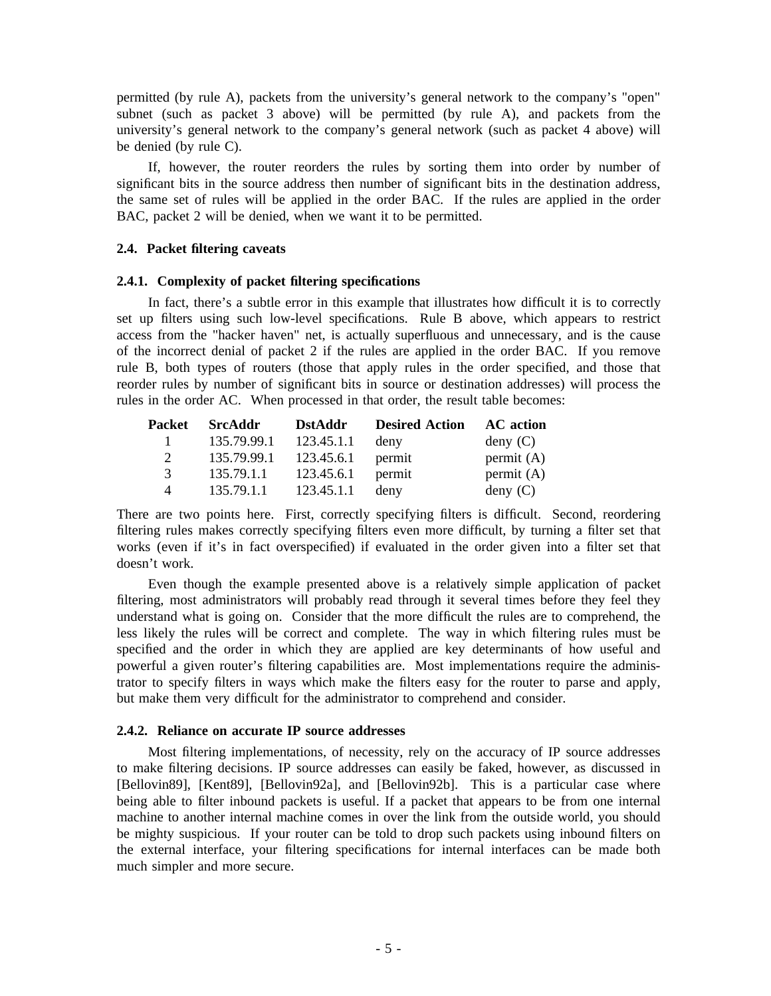permitted (by rule A), packets from the university's general network to the company's "open" s ubnet (such as packet 3 above) will be permitted (by rule A), and packets from the university's general network to the company's general network (such as packet 4 above) will b e denied (by rule C).

If, however, the router reorders the rules by sorting them into order by number of significant bits in the source address then number of significant bits in the destination address, t he same set of rules will be applied in the order BAC. If the rules are applied in the order BAC, packet 2 will be denied, when we want it to be permitted.

### **2 .4. Packet filtering caveats**

# **2.4.1. Complexity of packet filtering specifications**

In fact, there's a subtle error in this example that illustrates how difficult it is to correctly set up filters using such low-level specifications. Rule B above, which appears to restrict a ccess from the "hacker haven" net, is actually superfluous and unnecessary, and is the cause of the incorrect denial of packet 2 if the rules are applied in the order BAC. If you remove r ule B, both types of routers (those that apply rules in the order specified, and those that r ules in the order AC. When processed in that order, the result table becomes: reorder rules by number of significant bits in source or destination addresses) will process the

| Packet                | <b>SrcAddr</b> | <b>DstAddr</b> | <b>Desired Action</b> | AC action    |
|-----------------------|----------------|----------------|-----------------------|--------------|
|                       | 135.79.99.1    | 123.45.1.1     | deny                  | deny(C)      |
| $\mathcal{D}_{\cdot}$ | 135.79.99.1    | 123.45.6.1     | permit                | permit $(A)$ |
| 3                     | 135.79.1.1     | 123.45.6.1     | permit                | permit $(A)$ |
| 4                     | 135.79.1.1     | 123.45.1.1     | deny                  | deny(C)      |

T here are two points here. First, correctly specifying filters is difficult. Second, reordering filtering rules makes correctly specifying filters even more difficult, by turning a filter set that w orks (even if it's in fact overspecified) if evaluated in the order given into a filter set that doesn't work.

Even though the example presented above is a relatively simple application of packet u nderstand what is going on. Consider that the more difficult the rules are to comprehend, the filtering, most administrators will probably read through it several times before they feel they less likely the rules will be correct and complete. The way in which filtering rules must be s pecified and the order in which they are applied are key determinants of how useful and - powerful a given router's filtering capabilities are. Most implementations require the adminis t rator to specify filters in ways which make the filters easy for the router to parse and apply, but make them very difficult for the administrator to comprehend and consider.

# **2 .4.2. Reliance on accurate IP source addresses**

Most filtering implementations, of necessity, rely on the accuracy of IP source addresses [ Bellovin89], [Kent89], [Bellovin92a], and [Bellovin92b]. This is a particular case where to make filtering decisions. IP source addresses can easily be faked, however, as discussed in being able to filter inbound packets is useful. If a packet that appears to be from one internal m achine to another internal machine comes in over the link from the outside world, you should be mighty suspicious. If your router can be told to drop such packets using inbound filters on t he external interface, your filtering specifications for internal interfaces can be made both much simpler and more secure.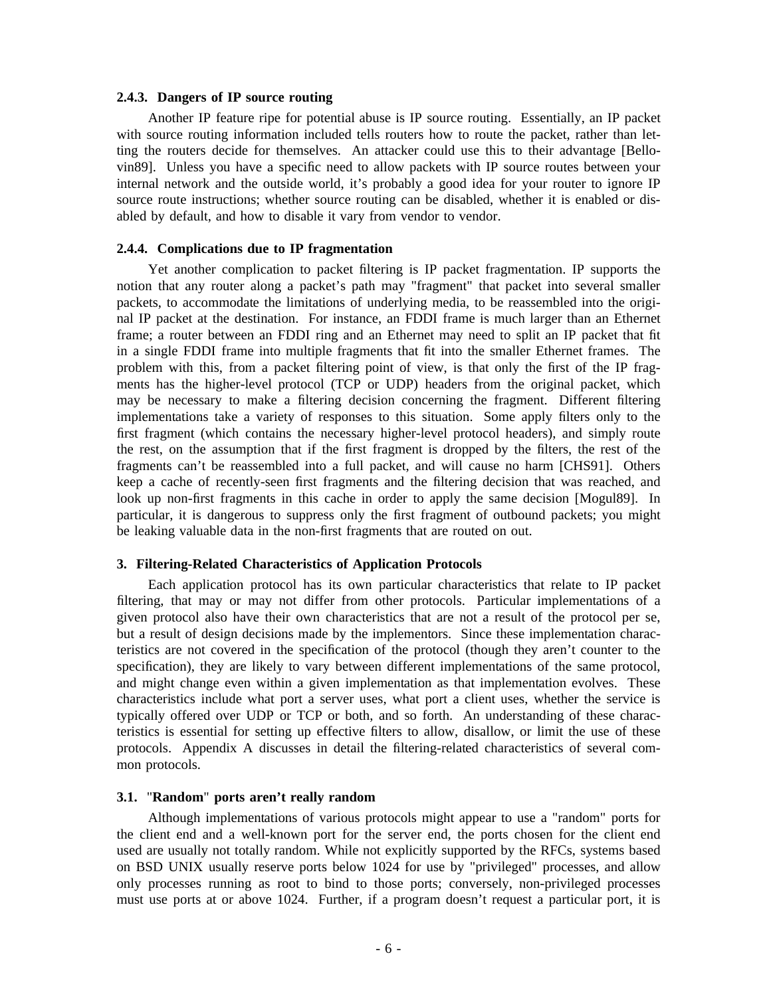### **2.4.3. Dangers of IP source routing**

Another IP feature ripe for potential abuse is IP source routing. Essentially, an IP packet t ing the routers decide for themselves. An attacker could use this to their advantage [Bellowith source routing information included tells routers how to route the packet, rather than letvin89]. Unless you have a specific need to allow packets with IP source routes between your i nternal network and the outside world, it's probably a good idea for your router to ignore IP source route instructions; whether source routing can be disabled, whether it is enabled or disa bled by default, and how to disable it vary from vendor to vendor.

### **2.4.4. Complications due to IP fragmentation**

Yet another complication to packet filtering is IP packet fragmentation. IP supports the r notion that any router along a packet's path may "fragment" that packet into several smalle p ackets, to accommodate the limitations of underlying media, to be reassembled into the original IP packet at the destination. For instance, an FDDI frame is much larger than an Ethernet f rame; a router between an FDDI ring and an Ethernet may need to split an IP packet that fit p roblem with this, from a packet filtering point of view, is that only the first of the IP fragin a single FDDI frame into multiple fragments that fit into the smaller Ethernet frames. The m ay be necessary to make a filtering decision concerning the fragment. Different filtering ments has the higher-level protocol (TCP or UDP) headers from the original packet, which implementations take a variety of responses to this situation. Some apply filters only to the first fragment (which contains the necessary higher-level protocol headers), and simply route the rest, on the assumption that if the first fragment is dropped by the filters, the rest of the f ragments can't be reassembled into a full packet, and will cause no harm [CHS91]. Others l ook up non-first fragments in this cache in order to apply the same decision [Mogul89]. In keep a cache of recently-seen first fragments and the filtering decision that was reached, and particular, it is dangerous to suppress only the first fragment of outbound packets; you might b e leaking valuable data in the non-first fragments that are routed on out.

### **3. Filtering-Related Characteristics of Application Protocols**

Each application protocol has its own particular characteristics that relate to IP packet g iven protocol also have their own characteristics that are not a result of the protocol per se, filtering, that may or may not differ from other protocols. Particular implementations of a t eristics are not covered in the specification of the protocol (though they aren't counter to the but a result of design decisions made by the implementors. Since these implementation characspecification), they are likely to vary between different implementations of the same protocol, a nd might change even within a given implementation as that implementation evolves. These characteristics include what port a server uses, what port a client uses, whether the service is t ypically offered over UDP or TCP or both, and so forth. An understanding of these characp rotocols. Appendix A discusses in detail the filtering-related characteristics of several comteristics is essential for setting up effective filters to allow, disallow, or limit the use of these mon protocols.

### **3 .1.** "**Random**" **ports aren't really random**

Although implementations of various protocols might appear to use a "random" ports for u sed are usually not totally random. While not explicitly supported by the RFCs, systems based the client end and a well-known port for the server end, the ports chosen for the client end o nly processes running as root to bind to those ports; conversely, non-privileged processes on BSD UNIX usually reserve ports below 1024 for use by "privileged" processes, and allow must use ports at or above 1024. Further, if a program doesn't request a particular port, it is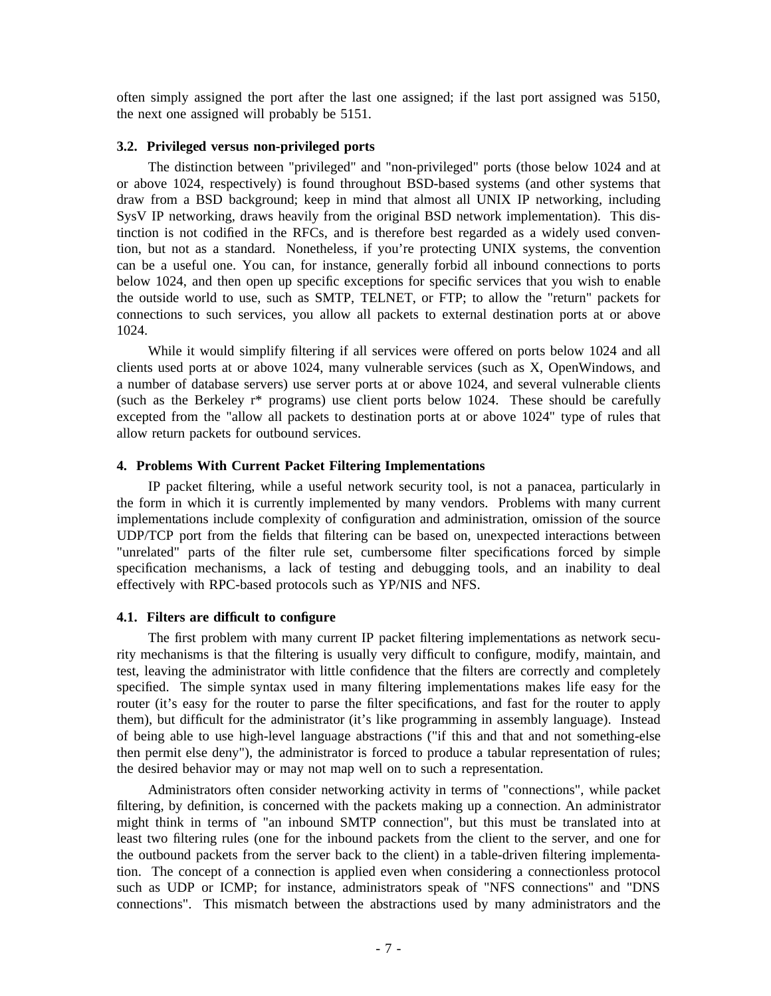often simply assigned the port after the last one assigned; if the last port assigned was 5150, t he next one assigned will probably be 5151.

### **3.2. Privileged versus non-privileged ports**

The distinction between "privileged" and "non-privileged" ports (those below 1024 and at or above 1024, respectively) is found throughout BSD-based systems (and other systems that d raw from a BSD background; keep in mind that almost all UNIX IP networking, including SysV IP networking, draws heavily from the original BSD network implementation). This dist inction is not codified in the RFCs, and is therefore best regarded as a widely used convenc an be a useful one. You can, for instance, generally forbid all inbound connections to ports tion, but not as a standard. Nonetheless, if you're protecting UNIX systems, the convention t he outside world to use, such as SMTP, TELNET, or FTP; to allow the "return" packets for below 1024, and then open up specific exceptions for specific services that you wish to enable 1 024. connections to such services, you allow all packets to external destination ports at or above

While it would simplify filtering if all services were offered on ports below 1024 and all a number of database servers) use server ports at or above 1024, and several vulnerable clients clients used ports at or above 1024, many vulnerable services (such as X, OpenWindows, and e xcepted from the "allow all packets to destination ports at or above 1024" type of rules that (such as the Berkeley r\* programs) use client ports below 1024. These should be carefully allow return packets for outbound services.

# **4 . Problems With Current Packet Filtering Implementations**

IP packet filtering, while a useful network security tool, is not a panacea, particularly in t he form in which it is currently implemented by many vendors. Problems with many current U DP/TCP port from the fields that filtering can be based on, unexpected interactions between implementations include complexity of configuration and administration, omission of the source "unrelated" parts of the filter rule set, cumbersome filter specifications forced by simple s pecification mechanisms, a lack of testing and debugging tools, and an inability to deal effectively with RPC-based protocols such as YP/NIS and NFS.

# **4 .1. Filters are difficult to configure**

The first problem with many current IP packet filtering implementations as network secut est, leaving the administrator with little confidence that the filters are correctly and completely rity mechanisms is that the filtering is usually very difficult to configure, modify, maintain, and specified. The simple syntax used in many filtering implementations makes life easy for the r outer (it's easy for the router to parse the filter specifications, and fast for the router to apply them), but difficult for the administrator (it's like programming in assembly language). Instead o f being able to use high-level language abstractions ("if this and that and not something-else then permit else deny"), the administrator is forced to produce a tabular representation of rules; t he desired behavior may or may not map well on to such a representation.

Administrators often consider networking activity in terms of "connections", while packet fi ltering, by definition, is concerned with the packets making up a connection. An administrator might think in terms of "an inbound SMTP connection", but this must be translated into at l east two filtering rules (one for the inbound packets from the client to the server, and one for the outbound packets from the server back to the client) in a table-driven filtering implementat ion. The concept of a connection is applied even when considering a connectionless protocol c onnections". This mismatch between the abstractions used by many administrators and the such as UDP or ICMP; for instance, administrators speak of "NFS connections" and "DNS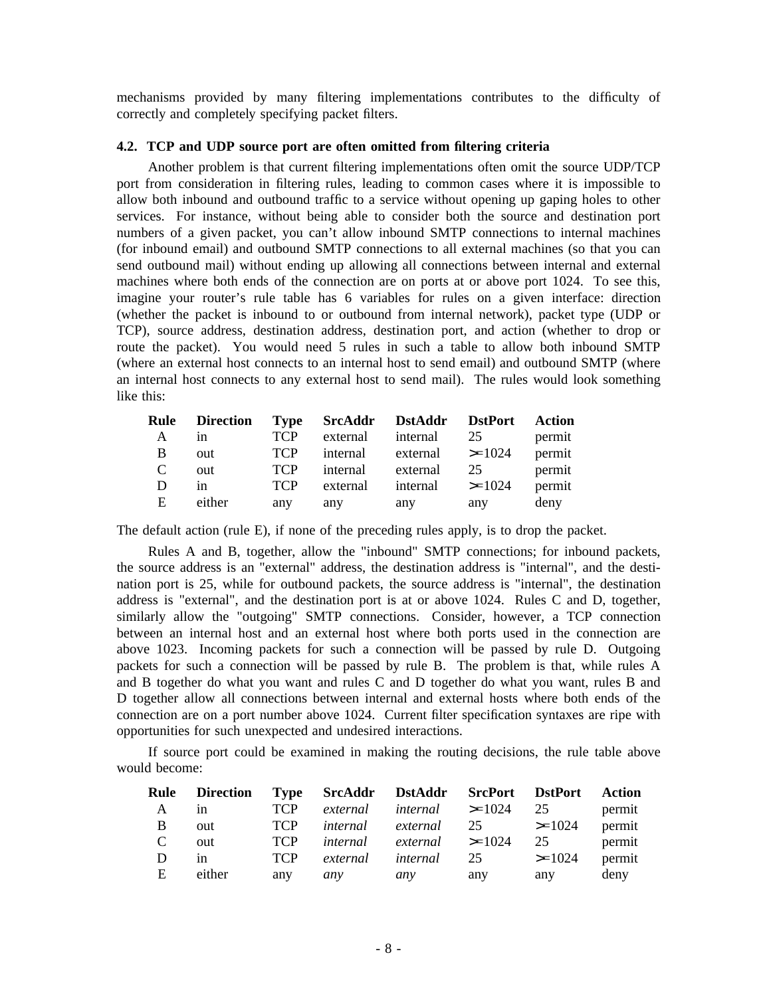mechanisms provided by many filtering implementations contributes to the difficulty of correctly and completely specifying packet filters.

# **4 .2. TCP and UDP source port are often omitted from filtering criteria**

Another problem is that current filtering implementations often omit the source UDP/TCP p ort from consideration in filtering rules, leading to common cases where it is impossible to allow both inbound and outbound traffic to a service without opening up gaping holes to other s ervices. For instance, without being able to consider both the source and destination port ( for inbound email) and outbound SMTP connections to all external machines (so that you can numbers of a given packet, you can't allow inbound SMTP connections to internal machines send outbound mail) without ending up allowing all connections between internal and external m achines where both ends of the connection are on ports at or above port 1024. To see this, ( whether the packet is inbound to or outbound from internal network), packet type (UDP or imagine your router's rule table has 6 variables for rules on a given interface: direction r TCP), source address, destination address, destination port, and action (whether to drop o r oute the packet). You would need 5 rules in such a table to allow both inbound SMTP (where an external host connects to an internal host to send email) and outbound SMTP (where a n internal host connects to any external host to send mail). The rules would look something like this:

|              | Rule Direction Type SrcAddr DstAddr DstPort Action |            |     |                              |     |        |
|--------------|----------------------------------------------------|------------|-----|------------------------------|-----|--------|
| $\mathbf{A}$ | in                                                 | <b>TCP</b> |     | external internal 25         |     | permit |
| B            | out                                                | <b>TCP</b> |     | internal external $> = 1024$ |     | permit |
| C            | out                                                | <b>TCP</b> |     | internal external 25         |     | permit |
| D            | in                                                 | <b>TCP</b> |     | external internal $> = 1024$ |     | permit |
| E            | either                                             | any        | any | any                          | any | deny   |

T he default action (rule E), if none of the preceding rules apply, is to drop the packet.

Rules A and B, together, allow the "inbound" SMTP connections; for inbound packets, t he source address is an "external" address, the destination address is "internal", and the destia ddress is "external", and the destination port is at or above 1024. Rules C and D, together, nation port is 25, while for outbound packets, the source address is "internal", the destination b etween an internal host and an external host where both ports used in the connection are similarly allow the "outgoing" SMTP connections. Consider, however, a TCP connection p ackets for such a connection will be passed by rule B. The problem is that, while rules A above 1023. Incoming packets for such a connection will be passed by rule D. Outgoing and B together do what you want and rules C and D together do what you want, rules B and D together allow all connections between internal and external hosts where both ends of the o pportunities for such unexpected and undesired interactions. connection are on a port number above 1024. Current filter specification syntaxes are ripe with

If source port could be examined in making the routing decisions, the rule table above w ould become:

|     | Rule Direction Type SrcAddr DstAddr SrcPort DstPort Action |            |     |                                       |     |     |        |
|-----|------------------------------------------------------------|------------|-----|---------------------------------------|-----|-----|--------|
| A   | in                                                         |            |     | TCP external internal $\geq=1024$ 25  |     |     | permit |
| - B | out                                                        |            |     | TCP internal external $25$ $> = 1024$ |     |     | permit |
| C   | out                                                        | <b>TCP</b> |     | internal external $> = 1024$ 25       |     |     | permit |
| D   | in                                                         | <b>TCP</b> |     | external internal $25$ $> = 1024$     |     |     | permit |
| E   | either                                                     | any        | any | any                                   | any | any | deny   |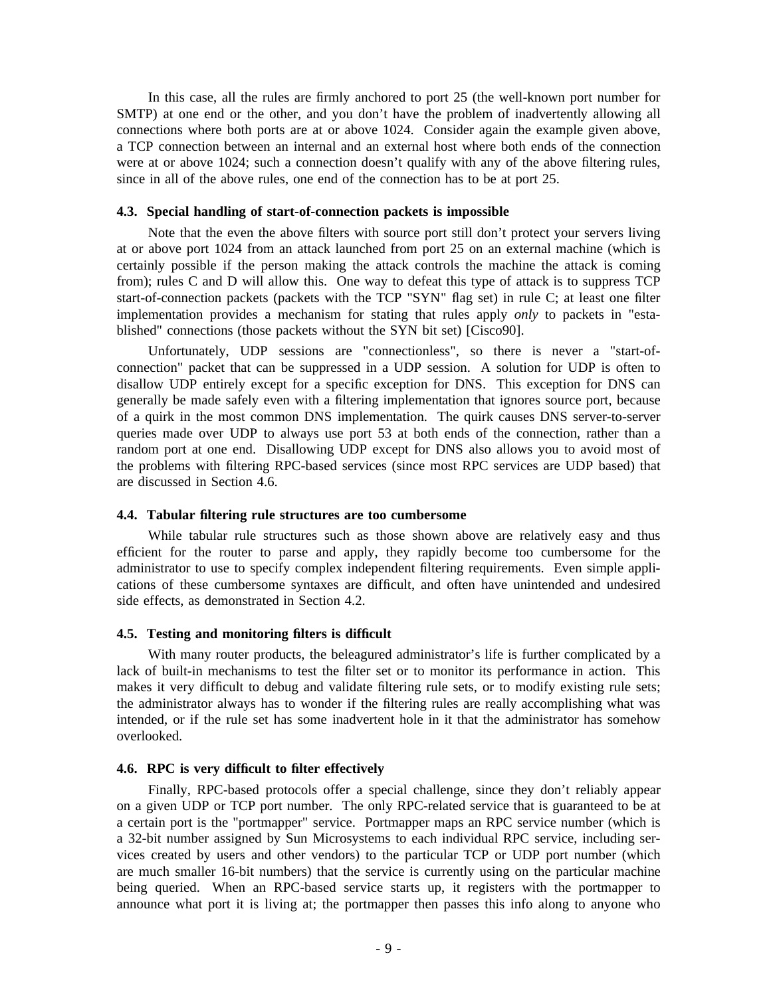In this case, all the rules are firmly anchored to port 25 (the well-known port number for SMTP) at one end or the other, and you don't have the problem of inadvertently allowing all c onnections where both ports are at or above 1024. Consider again the example given above, w ere at or above 1024; such a connection doesn't qualify with any of the above filtering rules, a TCP connection between an internal and an external host where both ends of the connection since in all of the above rules, one end of the connection has to be at port 25.

# **4 .3. Special handling of start-of-connection packets is impossible**

Note that the even the above filters with source port still don't protect your servers living a t or above port 1024 from an attack launched from port 25 on an external machine (which is f rom); rules C and D will allow this. One way to defeat this type of attack is to suppress TCP certainly possible if the person making the attack controls the machine the attack is coming start-of-connection packets (packets with the TCP "SYN" flag set) in rule C; at least one filter i mplementation provides a mechanism for stating that rules apply *only* to packets in "established" connections (those packets without the SYN bit set) [Cisco90].

Unfortunately, UDP sessions are "connectionless", so there is never a "start-ofd isallow UDP entirely except for a specific exception for DNS. This exception for DNS can connection" packet that can be suppressed in a UDP session. A solution for UDP is often to generally be made safely even with a filtering implementation that ignores source port, because o f a quirk in the most common DNS implementation. The quirk causes DNS server-to-server r andom port at one end. Disallowing UDP except for DNS also allows you to avoid most of queries made over UDP to always use port 53 at both ends of the connection, rather than a t the problems with filtering RPC-based services (since most RPC services are UDP based) tha a re discussed in Section 4.6.

### **4.4. Tabular filtering rule structures are too cumbersome**

While tabular rule structures such as those shown above are relatively easy and thus e fficient for the router to parse and apply, they rapidly become too cumbersome for the - administrator to use to specify complex independent filtering requirements. Even simple appli c ations of these cumbersome syntaxes are difficult, and often have unintended and undesired side effects, as demonstrated in Section 4.2.

# **4 .5. Testing and monitoring filters is difficult**

With many router products, the beleagured administrator's life is further complicated by a lack of built-in mechanisms to test the filter set or to monitor its performance in action. This m akes it very difficult to debug and validate filtering rule sets, or to modify existing rule sets; i ntended, or if the rule set has some inadvertent hole in it that the administrator has somehow the administrator always has to wonder if the filtering rules are really accomplishing what was overlooked.

# **4 .6. RPC is very difficult to filter effectively**

Finally, RPC-based protocols offer a special challenge, since they don't reliably appear on a given UDP or TCP port number. The only RPC-related service that is guaranteed to be at a certain port is the "portmapper" service. Portmapper maps an RPC service number (which is a 32-bit number assigned by Sun Microsystems to each individual RPC service, including serv ices created by users and other vendors) to the particular TCP or UDP port number (which are much smaller 16-bit numbers) that the service is currently using on the particular machine b eing queried. When an RPC-based service starts up, it registers with the portmapper to announce what port it is living at; the portmapper then passes this info along to anyone who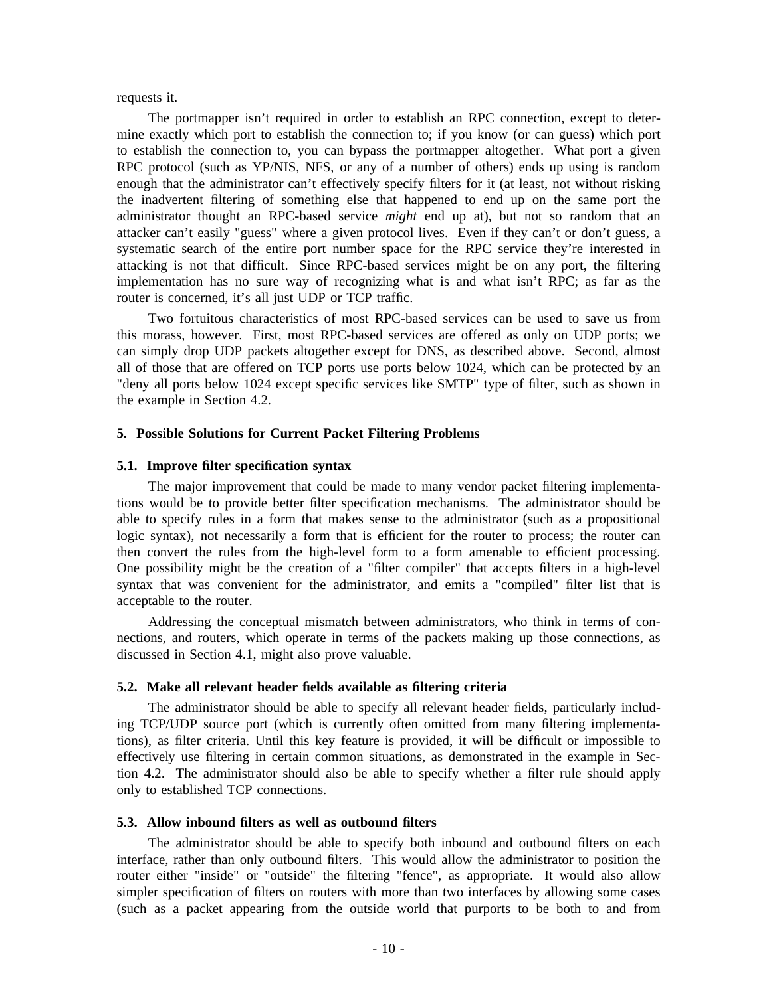### requests it.

The portmapper isn't required in order to establish an RPC connection, except to determine exactly which port to establish the connection to; if you know (or can guess) which port t o establish the connection to, you can bypass the portmapper altogether. What port a given e nough that the administrator can't effectively specify filters for it (at least, not without risking RPC protocol (such as YP/NIS, NFS, or any of a number of others) ends up using is random the inadvertent filtering of something else that happened to end up on the same port the a dministrator thought an RPC-based service *might* end up at), but not so random that an a attacker can't easily "guess" where a given protocol lives. Even if they can't or don't guess, s ystematic search of the entire port number space for the RPC service they're interested in attacking is not that difficult. Since RPC-based services might be on any port, the filtering i mplementation has no sure way of recognizing what is and what isn't RPC; as far as the router is concerned, it's all just UDP or TCP traffic.

Two fortuitous characteristics of most RPC-based services can be used to save us from this morass, however. First, most RPC-based services are offered as only on UDP ports; we c an simply drop UDP packets altogether except for DNS, as described above. Second, almost " deny all ports below 1024 except specific services like SMTP" type of filter, such as shown in all of those that are offered on TCP ports use ports below 1024, which can be protected by an the example in Section 4.2.

### **5 . Possible Solutions for Current Packet Filtering Problems**

### **5.1. Improve filter specification syntax**

The major improvement that could be made to many vendor packet filtering implementaa ble to specify rules in a form that makes sense to the administrator (such as a propositional tions would be to provide better filter specification mechanisms. The administrator should be t hen convert the rules from the high-level form to a form amenable to efficient processing. logic syntax), not necessarily a form that is efficient for the router to process; the router can s yntax that was convenient for the administrator, and emits a "compiled" filter list that is One possibility might be the creation of a "filter compiler" that accepts filters in a high-level acceptable to the router.

Addressing the conceptual mismatch between administrators, who think in terms of cond iscussed in Section 4.1, might also prove valuable. nections, and routers, which operate in terms of the packets making up those connections, as

### **5.2. Make all relevant header fields available as filtering criteria**

The administrator should be able to specify all relevant header fields, particularly includ ing TCP/UDP source port (which is currently often omitted from many filtering implementat ions), as filter criteria. Until this key feature is provided, it will be difficult or impossible to - effectively use filtering in certain common situations, as demonstrated in the example in Sec t ion 4.2. The administrator should also be able to specify whether a filter rule should apply only to established TCP connections.

### **5 .3. Allow inbound filters as well as outbound filters**

The administrator should be able to specify both inbound and outbound filters on each i nterface, rather than only outbound filters. This would allow the administrator to position the s impler specification of filters on routers with more than two interfaces by allowing some cases router either "inside" or "outside" the filtering "fence", as appropriate. It would also allow (such as a packet appearing from the outside world that purports to be both to and from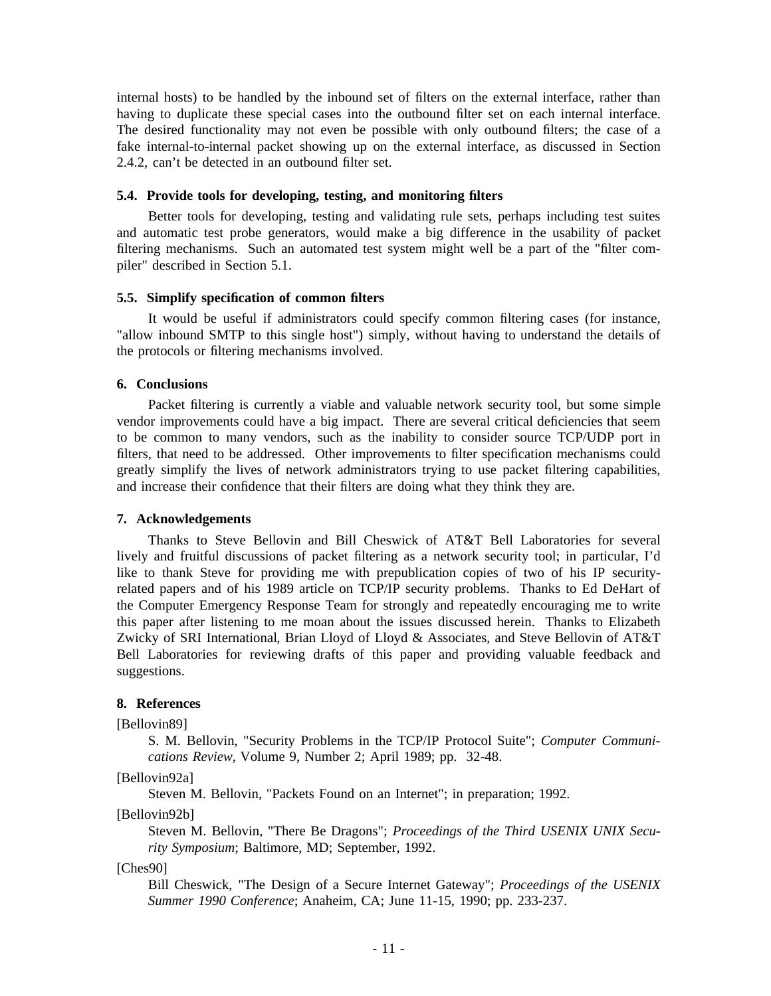n internal hosts) to be handled by the inbound set of filters on the external interface, rather tha h aving to duplicate these special cases into the outbound filter set on each internal interface. f ake internal-to-internal packet showing up on the external interface, as discussed in Section The desired functionality may not even be possible with only outbound filters; the case of a 2.4.2, can't be detected in an outbound filter set.

# **5 .4. Provide tools for developing, testing, and monitoring filters**

Better tools for developing, testing and validating rule sets, perhaps including test suites a nd automatic test probe generators, would make a big difference in the usability of packet p iler" described in Section 5.1. filtering mechanisms. Such an automated test system might well be a part of the "filter com-

### **5.5. Simplify specification of common filters**

It would be useful if administrators could specify common filtering cases (for instance, t he protocols or filtering mechanisms involved. "allow inbound SMTP to this single host") simply, without having to understand the details of

# **6. Conclusions**

Packet filtering is currently a viable and valuable network security tool, but some simple t o be common to many vendors, such as the inability to consider source TCP/UDP port in vendor improvements could have a big impact. There are several critical deficiencies that seem filters, that need to be addressed. Other improvements to filter specification mechanisms could g reatly simplify the lives of network administrators trying to use packet filtering capabilities, and increase their confidence that their filters are doing what they think they are.

### **7 . Acknowledgements**

Thanks to Steve Bellovin and Bill Cheswick of AT&T Bell Laboratories for several l ike to thank Steve for providing me with prepublication copies of two of his IP securitylively and fruitful discussions of packet filtering as a network security tool; in particular, I'd related papers and of his 1989 article on TCP/IP security problems. Thanks to Ed DeHart of t he Computer Emergency Response Team for strongly and repeatedly encouraging me to write Z wicky of SRI International, Brian Lloyd of Lloyd & Associates, and Steve Bellovin of AT&T this paper after listening to me moan about the issues discussed herein. Thanks to Elizabeth Bell Laboratories for reviewing drafts of this paper and providing valuable feedback and s uggestions.

### **s 8. Reference**

[ Bellovin89]

S. M. Bellovin, "Security Problems in the TCP/IP Protocol Suite"; *Computer Communi cations Review*, Volume 9, Number 2; April 1989; pp. 32-48.

[ Bellovin92a]

Steven M. Bellovin, "Packets Found on an Internet"; in preparation; 1992.

[Bellovin92b]

Steven M. Bellovin, "There Be Dragons"; *Proceedings of the Third USENIX UNIX Security Symposium*; Baltimore, MD; September, 1992.

[Ches90]

Bill Cheswick, "The Design of a Secure Internet Gateway"; *Proceedings of the USENIX Summer 1990 Conference*; Anaheim, CA; June 11-15, 1990; pp. 233-237.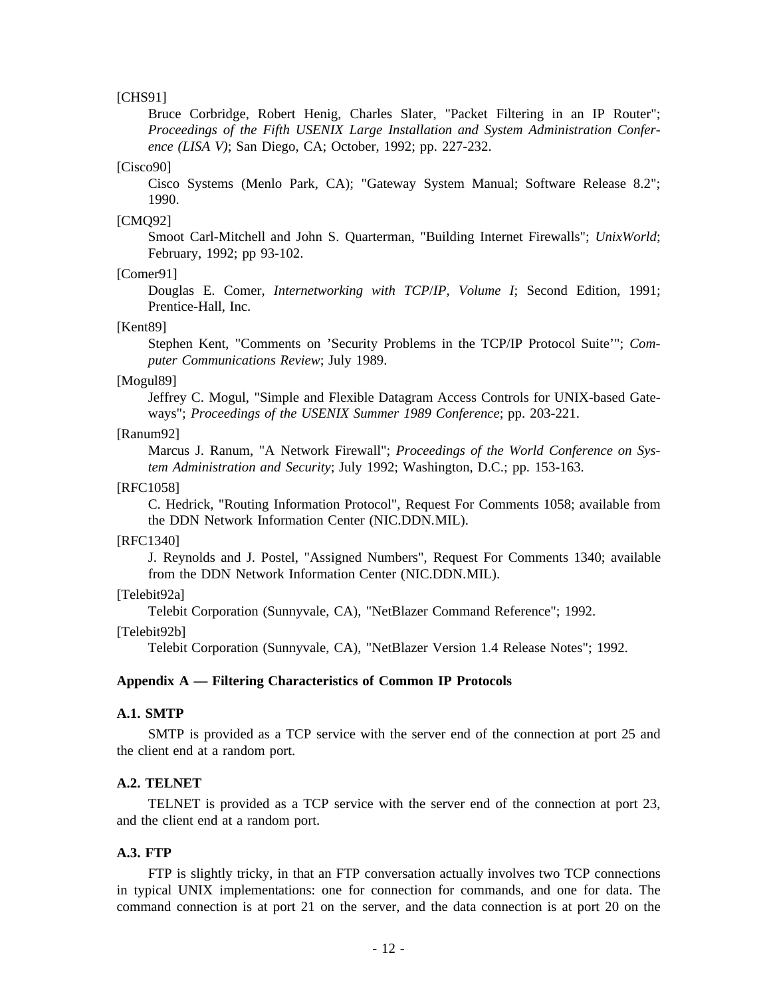### [CHS91]

Bruce Corbridge, Robert Henig, Charles Slater, "Packet Filtering in an IP Router"; *e nce (LISA V)*; San Diego, CA; October, 1992; pp. 227-232. *Proceedings of the Fifth USENIX Large Installation and System Administration Confer-*

### [Cisco90]

Cisco Systems (Menlo Park, CA); "Gateway System Manual; Software Release 8.2"; 1990.

# [CMQ92]

Smoot Carl-Mitchell and John S. Quarterman, "Building Internet Firewalls"; *UnixWorld*; February, 1992; pp 93-102.

### [Comer91]

Douglas E. Comer, *Internetworking with TCP*/*IP, Volume I*; Second Edition, 1991; Prentice-Hall, Inc.

### [Kent89]

Stephen Kent, "Comments on 'Security Problems in the TCP/IP Protocol Suite'"; *Computer Communications Review*; July 1989.

### [Mogul89]

Jeffrey C. Mogul, "Simple and Flexible Datagram Access Controls for UNIX-based Gate ways"; *Proceedings of the USENIX Summer 1989 Conference*; pp. 203-221.

### [ Ranum92]

Marcus J. Ranum, "A Network Firewall"; *Proceedings of the World Conference on Sys tem Administration and Security*; July 1992; Washington, D.C.; pp. 153-163.

### [ RFC1058]

C. Hedrick, "Routing Information Protocol", Request For Comments 1058; available from the DDN Network Information Center (NIC.DDN.MIL).

### [ RFC1340]

J. Reynolds and J. Postel, "Assigned Numbers", Request For Comments 1340; available from the DDN Network Information Center (NIC.DDN.MIL).

[ Telebit92a]

Telebit Corporation (Sunnyvale, CA), "NetBlazer Command Reference"; 1992.

[Telebit92b]

Telebit Corporation (Sunnyvale, CA), "NetBlazer Version 1.4 Release Notes"; 1992.

### **Appendix A — Filtering Characteristics of Common IP Protocols**

### **A .1. SMTP**

SMTP is provided as a TCP service with the server end of the connection at port 25 and the client end at a random port.

### **A .2. TELNET**

TELNET is provided as a TCP service with the server end of the connection at port 23, and the client end at a random port.

### **A .3. FTP**

FTP is slightly tricky, in that an FTP conversation actually involves two TCP connections c ommand connection is at port 21 on the server, and the data connection is at port 20 on the in typical UNIX implementations: one for connection for commands, and one for data. The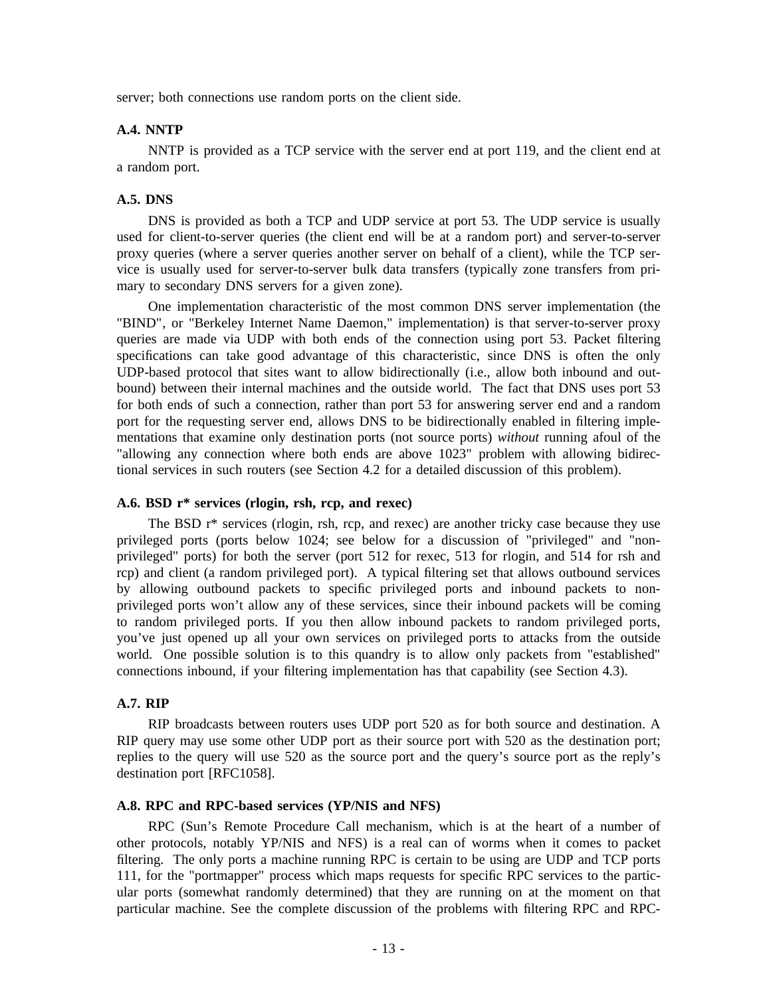server; both connections use random ports on the client side.

### **A .4. NNTP**

NNTP is provided as a TCP service with the server end at port 119, and the client end at a random port.

### **A .5. DNS**

DNS is provided as both a TCP and UDP service at port 53. The UDP service is usually used for client-to-server queries (the client end will be at a random port) and server-to-server p roxy queries (where a server queries another server on behalf of a client), while the TCP ser vice is usually used for server-to-server bulk data transfers (typically zone transfers from prim ary to secondary DNS servers for a given zone).

One implementation characteristic of the most common DNS server implementation (the q ueries are made via UDP with both ends of the connection using port 53. Packet filtering "BIND", or "Berkeley Internet Name Daemon," implementation) is that server-to-server proxy specifications can take good advantage of this characteristic, since DNS is often the only U DP-based protocol that sites want to allow bidirectionally (i.e., allow both inbound and outf or both ends of such a connection, rather than port 53 for answering server end and a random bound) between their internal machines and the outside world. The fact that DNS uses port 53 - port for the requesting server end, allows DNS to be bidirectionally enabled in filtering imple m entations that examine only destination ports (not source ports) *without* running afoul of the "allowing any connection where both ends are above 1023" problem with allowing bidirect ional services in such routers (see Section 4.2 for a detailed discussion of this problem).

### **A.6. BSD r\* services (rlogin, rsh, rcp, and rexec)**

The BSD r\* services (rlogin, rsh, rcp, and rexec) are another tricky case because they use - privileged ports (ports below 1024; see below for a discussion of "privileged" and "non p rivileged" ports) for both the server (port 512 for rexec, 513 for rlogin, and 514 for rsh and rcp) and client (a random privileged port). A typical filtering set that allows outbound services b y allowing outbound packets to specific privileged ports and inbound packets to nont o random privileged ports. If you then allow inbound packets to random privileged ports, privileged ports won't allow any of these services, since their inbound packets will be coming w orld. One possible solution is to this quandry is to allow only packets from "established" you've just opened up all your own services on privileged ports to attacks from the outside connections inbound, if your filtering implementation has that capability (see Section 4.3).

### **A .7. RIP**

RIP broadcasts between routers uses UDP port 520 as for both source and destination. A RIP query may use some other UDP port as their source port with 520 as the destination port; r eplies to the query will use 520 as the source port and the query's source port as the reply's destination port [RFC1058].

### **A .8. RPC and RPC-based services (YP/NIS and NFS)**

RPC (Sun's Remote Procedure Call mechanism, which is at the heart of a number of o ther protocols, notably YP/NIS and NFS) is a real can of worms when it comes to packet 1 11, for the "portmapper" process which maps requests for specific RPC services to the particfiltering. The only ports a machine running RPC is certain to be using are UDP and TCP ports ular ports (somewhat randomly determined) that they are running on at the moment on that p articular machine. See the complete discussion of the problems with filtering RPC and RPC-